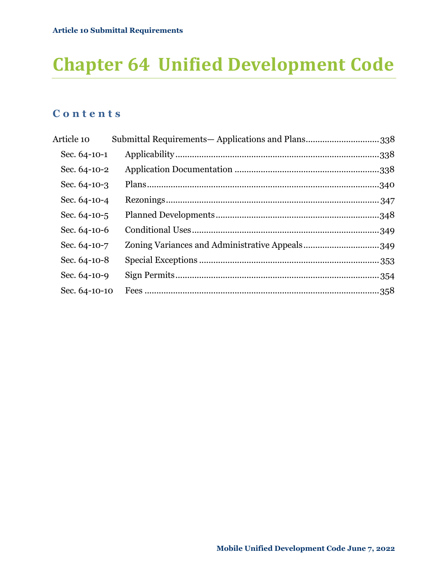# **Chapter 64 Unified Development Code**

### **C o n t e n t s**

| Article 10    | Submittal Requirements-Applications and Plans338 |  |
|---------------|--------------------------------------------------|--|
| Sec. 64-10-1  |                                                  |  |
| Sec. 64-10-2  |                                                  |  |
| Sec. 64-10-3  |                                                  |  |
| Sec. 64-10-4  |                                                  |  |
| Sec. 64-10-5  |                                                  |  |
| Sec. 64-10-6  |                                                  |  |
| Sec. 64-10-7  | Zoning Variances and Administrative Appeals349   |  |
| Sec. 64-10-8  |                                                  |  |
| Sec. 64-10-9  |                                                  |  |
| Sec. 64-10-10 |                                                  |  |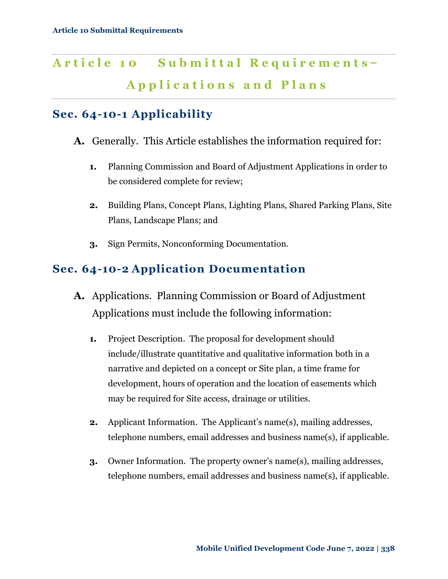## <span id="page-1-0"></span>Article 10 Submittal Requirements-**A p p l i c a t i o n s a n d P l a n s**

### <span id="page-1-1"></span>**Sec. 64-10-1 Applicability**

- **A.** Generally. This Article establishes the information required for:
	- **1.** Planning Commission and Board of Adjustment Applications in order to be considered complete for review;

- **2.** Building Plans, Concept Plans, Lighting Plans, Shared Parking Plans, Site Plans, Landscape Plans; and
- **3.** Sign Permits, Nonconforming Documentation.

### <span id="page-1-2"></span>**Sec. 64-10-2 Application Documentation**

- **A.** Applications. Planning Commission or Board of Adjustment Applications must include the following information:
	- **1.** Project Description. The proposal for development should include/illustrate quantitative and qualitative information both in a narrative and depicted on a concept or Site plan, a time frame for development, hours of operation and the location of easements which may be required for Site access, drainage or utilities.
	- **2.** Applicant Information. The Applicant's name(s), mailing addresses, telephone numbers, email addresses and business name(s), if applicable.
	- **3.** Owner Information. The property owner's name(s), mailing addresses, telephone numbers, email addresses and business name(s), if applicable.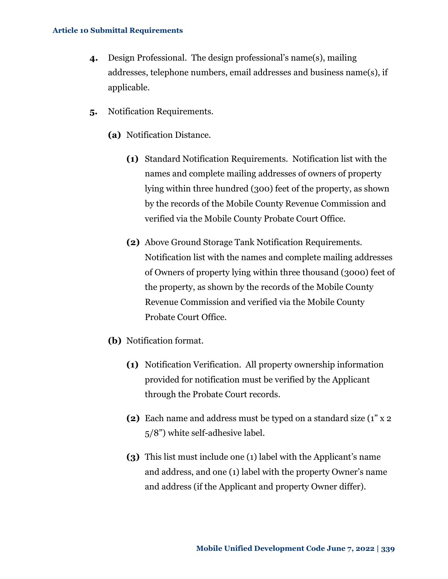- **4.** Design Professional. The design professional's name(s), mailing addresses, telephone numbers, email addresses and business name(s), if applicable.
- **5.** Notification Requirements.
	- **(a)** Notification Distance.
		- **(1)** Standard Notification Requirements. Notification list with the names and complete mailing addresses of owners of property lying within three hundred (300) feet of the property, as shown by the records of the Mobile County Revenue Commission and verified via the Mobile County Probate Court Office.
		- **(2)** Above Ground Storage Tank Notification Requirements. Notification list with the names and complete mailing addresses of Owners of property lying within three thousand (3000) feet of the property, as shown by the records of the Mobile County Revenue Commission and verified via the Mobile County Probate Court Office.
	- **(b)** Notification format.
		- **(1)** Notification Verification. All property ownership information provided for notification must be verified by the Applicant through the Probate Court records.
		- **(2)** Each name and address must be typed on a standard size (1" x 2 5/8") white self-adhesive label.
		- **(3)** This list must include one (1) label with the Applicant's name and address, and one (1) label with the property Owner's name and address (if the Applicant and property Owner differ).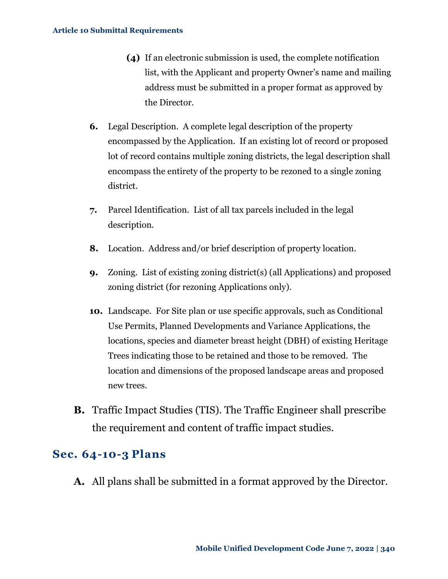- **(4)** If an electronic submission is used, the complete notification list, with the Applicant and property Owner's name and mailing address must be submitted in a proper format as approved by the Director.
- **6.** Legal Description. A complete legal description of the property encompassed by the Application. If an existing lot of record or proposed lot of record contains multiple zoning districts, the legal description shall encompass the entirety of the property to be rezoned to a single zoning district.
- **7.** Parcel Identification. List of all tax parcels included in the legal description.
- **8.** Location. Address and/or brief description of property location.
- **9.** Zoning. List of existing zoning district(s) (all Applications) and proposed zoning district (for rezoning Applications only).
- **10.** Landscape. For Site plan or use specific approvals, such as Conditional Use Permits, Planned Developments and Variance Applications, the locations, species and diameter breast height (DBH) of existing Heritage Trees indicating those to be retained and those to be removed. The location and dimensions of the proposed landscape areas and proposed new trees.
- **B.** Traffic Impact Studies (TIS). The Traffic Engineer shall prescribe the requirement and content of traffic impact studies.

### <span id="page-3-0"></span>**Sec. 64-10-3 Plans**

**A.** All plans shall be submitted in a format approved by the Director.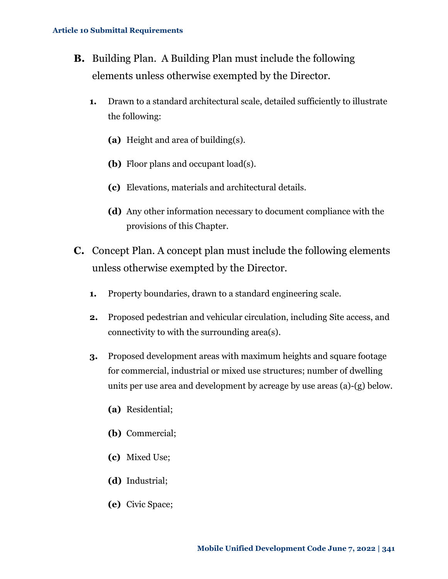- <span id="page-4-0"></span>**B.** Building Plan. A Building Plan must include the following elements unless otherwise exempted by the Director.
	- **1.** Drawn to a standard architectural scale, detailed sufficiently to illustrate the following:
		- **(a)** Height and area of building(s).
		- **(b)** Floor plans and occupant load(s).
		- **(c)** Elevations, materials and architectural details.
		- **(d)** Any other information necessary to document compliance with the provisions of this Chapter.
- **C.** Concept Plan. A concept plan must include the following elements unless otherwise exempted by the Director.
	- **1.** Property boundaries, drawn to a standard engineering scale.
	- **2.** Proposed pedestrian and vehicular circulation, including Site access, and connectivity to with the surrounding area(s).
	- **3.** Proposed development areas with maximum heights and square footage for commercial, industrial or mixed use structures; number of dwelling units per use area and development by acreage by use areas (a)-(g) below.
		- **(a)** Residential;
		- **(b)** Commercial;
		- **(c)** Mixed Use;
		- **(d)** Industrial;
		- **(e)** Civic Space;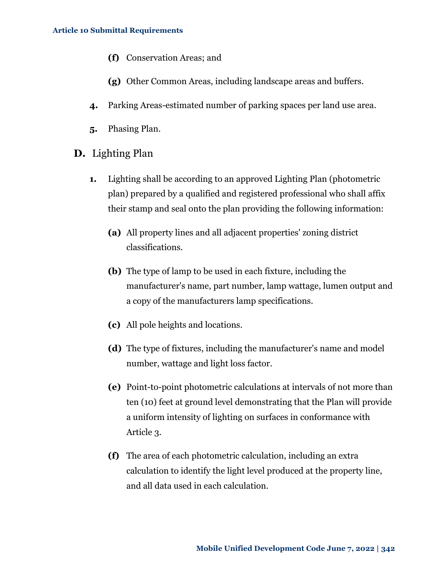- **(f)** Conservation Areas; and
- **(g)** Other Common Areas, including landscape areas and buffers.
- **4.** Parking Areas-estimated number of parking spaces per land use area.
- **5.** Phasing Plan.
- **D.** Lighting Plan
	- **1.** Lighting shall be according to an approved Lighting Plan (photometric plan) prepared by a qualified and registered professional who shall affix their stamp and seal onto the plan providing the following information:
		- **(a)** All property lines and all adjacent properties' zoning district classifications.
		- **(b)** The type of lamp to be used in each fixture, including the manufacturer's name, part number, lamp wattage, lumen output and a copy of the manufacturers lamp specifications.
		- **(c)** All pole heights and locations.
		- **(d)** The type of fixtures, including the manufacturer's name and model number, wattage and light loss factor.
		- **(e)** Point-to-point photometric calculations at intervals of not more than ten (10) feet at ground level demonstrating that the Plan will provide a uniform intensity of lighting on surfaces in conformance with Article 3.
		- **(f)** The area of each photometric calculation, including an extra calculation to identify the light level produced at the property line, and all data used in each calculation.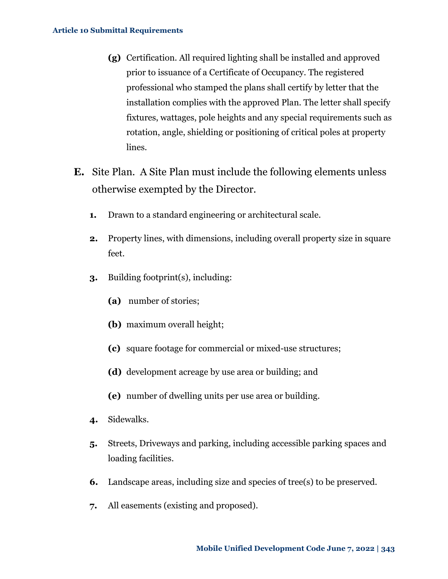- **(g)** Certification. All required lighting shall be installed and approved prior to issuance of a Certificate of Occupancy. The registered professional who stamped the plans shall certify by letter that the installation complies with the approved Plan. The letter shall specify fixtures, wattages, pole heights and any special requirements such as rotation, angle, shielding or positioning of critical poles at property lines.
- <span id="page-6-0"></span>**E.** Site Plan. A Site Plan must include the following elements unless otherwise exempted by the Director.
	- **1.** Drawn to a standard engineering or architectural scale.
	- **2.** Property lines, with dimensions, including overall property size in square feet.
	- **3.** Building footprint(s), including:
		- **(a)** number of stories;
		- **(b)** maximum overall height;
		- **(c)** square footage for commercial or mixed-use structures;
		- **(d)** development acreage by use area or building; and
		- **(e)** number of dwelling units per use area or building.
	- **4.** Sidewalks.
	- **5.** Streets, Driveways and parking, including accessible parking spaces and loading facilities.
	- **6.** Landscape areas, including size and species of tree(s) to be preserved.
	- **7.** All easements (existing and proposed).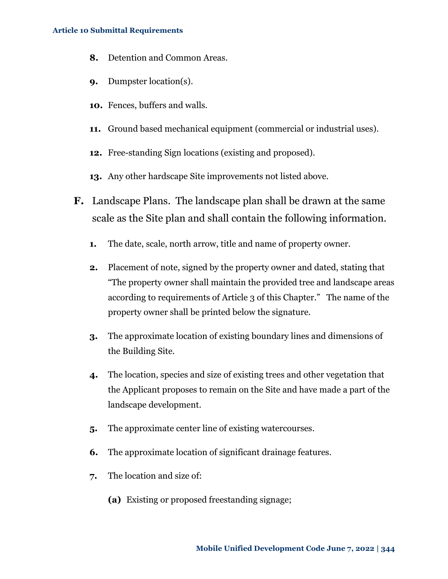- **8.** Detention and Common Areas.
- **9.** Dumpster location(s).
- **10.** Fences, buffers and walls.
- **11.** Ground based mechanical equipment (commercial or industrial uses).
- **12.** Free-standing Sign locations (existing and proposed).
- **13.** Any other hardscape Site improvements not listed above.
- **F.** Landscape Plans. The landscape plan shall be drawn at the same scale as the Site plan and shall contain the following information.
	- **1.** The date, scale, north arrow, title and name of property owner.
	- **2.** Placement of note, signed by the property owner and dated, stating that "The property owner shall maintain the provided tree and landscape areas according to requirements of Article 3 of this Chapter." The name of the property owner shall be printed below the signature.
	- **3.** The approximate location of existing boundary lines and dimensions of the Building Site.
	- **4.** The location, species and size of existing trees and other vegetation that the Applicant proposes to remain on the Site and have made a part of the landscape development.
	- **5.** The approximate center line of existing watercourses.
	- **6.** The approximate location of significant drainage features.
	- **7.** The location and size of:
		- **(a)** Existing or proposed freestanding signage;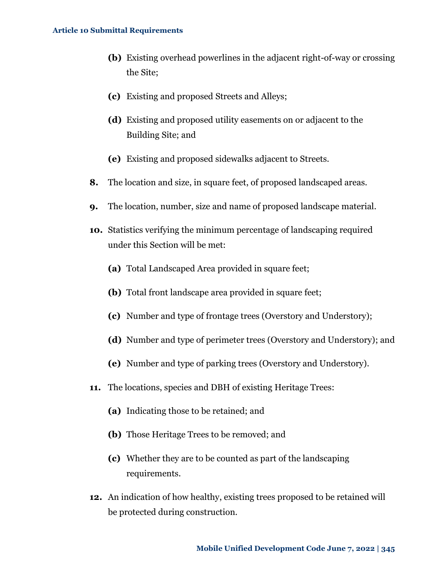- **(b)** Existing overhead powerlines in the adjacent right-of-way or crossing the Site;
- **(c)** Existing and proposed Streets and Alleys;
- **(d)** Existing and proposed utility easements on or adjacent to the Building Site; and
- **(e)** Existing and proposed sidewalks adjacent to Streets.
- **8.** The location and size, in square feet, of proposed landscaped areas.
- **9.** The location, number, size and name of proposed landscape material.
- **10.** Statistics verifying the minimum percentage of landscaping required under this Section will be met:
	- **(a)** Total Landscaped Area provided in square feet;
	- **(b)** Total front landscape area provided in square feet;
	- **(c)** Number and type of frontage trees (Overstory and Understory);
	- **(d)** Number and type of perimeter trees (Overstory and Understory); and
	- **(e)** Number and type of parking trees (Overstory and Understory).
- **11.** The locations, species and DBH of existing Heritage Trees:
	- **(a)** Indicating those to be retained; and
	- **(b)** Those Heritage Trees to be removed; and
	- **(c)** Whether they are to be counted as part of the landscaping requirements.
- **12.** An indication of how healthy, existing trees proposed to be retained will be protected during construction.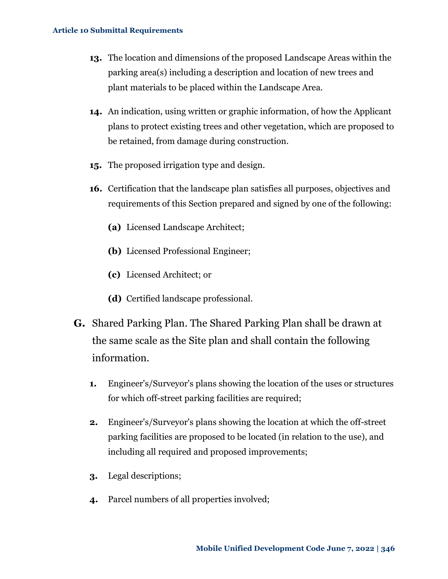- **13.** The location and dimensions of the proposed Landscape Areas within the parking area(s) including a description and location of new trees and plant materials to be placed within the Landscape Area.
- **14.** An indication, using written or graphic information, of how the Applicant plans to protect existing trees and other vegetation, which are proposed to be retained, from damage during construction.
- **15.** The proposed irrigation type and design.
- **16.** Certification that the landscape plan satisfies all purposes, objectives and requirements of this Section prepared and signed by one of the following:
	- **(a)** Licensed Landscape Architect;
	- **(b)** Licensed Professional Engineer;
	- **(c)** Licensed Architect; or
	- **(d)** Certified landscape professional.
- **G.** Shared Parking Plan. The Shared Parking Plan shall be drawn at the same scale as the Site plan and shall contain the following information.
	- **1.** Engineer's/Surveyor's plans showing the location of the uses or structures for which off-street parking facilities are required;
	- **2.** Engineer's/Surveyor's plans showing the location at which the off-street parking facilities are proposed to be located (in relation to the use), and including all required and proposed improvements;
	- **3.** Legal descriptions;
	- **4.** Parcel numbers of all properties involved;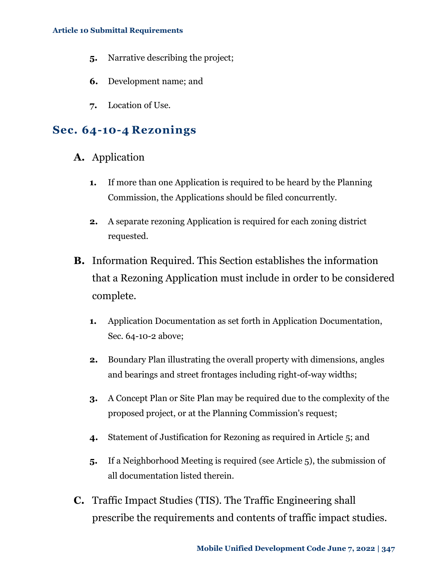- **5.** Narrative describing the project;
- **6.** Development name; and
- **7.** Location of Use.

### <span id="page-10-0"></span>**Sec. 64-10-4 Rezonings**

- **A.** Application
	- **1.** If more than one Application is required to be heard by the Planning Commission, the Applications should be filed concurrently.
	- **2.** A separate rezoning Application is required for each zoning district requested.
- **B.** Information Required. This Section establishes the information that a Rezoning Application must include in order to be considered complete.
	- **1.** Application Documentation as set forth in Application Documentation, [Sec. 64-10-2 above;](#page-1-2)
	- **2.** Boundary Plan illustrating the overall property with dimensions, angles and bearings and street frontages including right-of-way widths;
	- **3.** A Concept Plan or Site Plan may be required due to the complexity of the proposed project, or at the Planning Commission's request;
	- **4.** Statement of Justification for Rezoning as required in Article 5; and
	- **5.** If a Neighborhood Meeting is required (see Article 5), the submission of all documentation listed therein.
- **C.** Traffic Impact Studies (TIS). The Traffic Engineering shall prescribe the requirements and contents of traffic impact studies.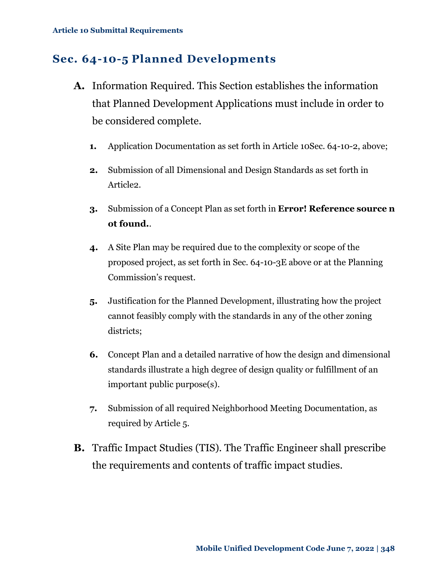### <span id="page-11-0"></span>**Sec. 64-10-5 Planned Developments**

- **A.** Information Required. This Section establishes the information that Planned Development Applications must include in order to be considered complete.
	- **1.** Application Documentation as set forth in [Article 10Sec. 64-10-2,](#page-1-2) above;
	- **2.** Submission of all Dimensional and Design Standards as set forth in Article2.
	- **3.** Submission of a Concept Plan as set forth in **Error! Reference source n ot found.**.
	- **4.** A Site Plan may be required due to the complexity or scope of the proposed project, as set forth in [Sec. 64-10-3E above](#page-6-0) or at the Planning Commission's request.
	- **5.** Justification for the Planned Development, illustrating how the project cannot feasibly comply with the standards in any of the other zoning districts;
	- **6.** Concept Plan and a detailed narrative of how the design and dimensional standards illustrate a high degree of design quality or fulfillment of an important public purpose(s).
	- **7.** Submission of all required Neighborhood Meeting Documentation, as required by Article 5.
- **B.** Traffic Impact Studies (TIS). The Traffic Engineer shall prescribe the requirements and contents of traffic impact studies.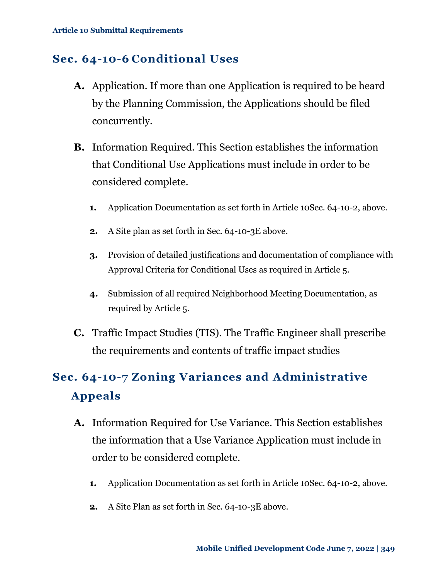### <span id="page-12-0"></span>**Sec. 64-10-6 Conditional Uses**

- **A.** Application. If more than one Application is required to be heard by the Planning Commission, the Applications should be filed concurrently.
- **B.** Information Required. This Section establishes the information that Conditional Use Applications must include in order to be considered complete.
	- **1.** Application Documentation as set forth in [Article 10Sec. 64-10-2,](#page-1-2) above.
	- **2.** A Site plan as set forth in [Sec. 64-10-3E above.](#page-6-0)
	- **3.** Provision of detailed justifications and documentation of compliance with Approval Criteria for Conditional Uses as required in Article 5.
	- **4.** Submission of all required Neighborhood Meeting Documentation, as required by Article 5.
- **C.** Traffic Impact Studies (TIS). The Traffic Engineer shall prescribe the requirements and contents of traffic impact studies

### <span id="page-12-1"></span>**Sec. 64-10-7 Zoning Variances and Administrative Appeals**

- **A.** Information Required for Use Variance. This Section establishes the information that a Use Variance Application must include in order to be considered complete.
	- **1.** Application Documentation as set forth in [Article 10Sec. 64-10-2,](#page-1-2) above.
	- **2.** A Site Plan as set forth in [Sec. 64-10-3E above.](#page-6-0)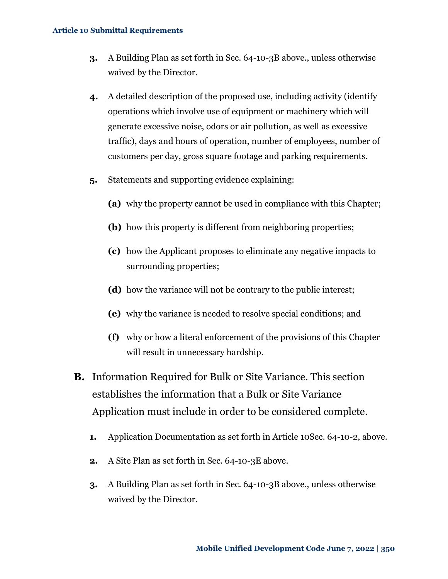- **3.** A Building Plan as set forth in [Sec. 64-10-3B above.](#page-4-0), unless otherwise waived by the Director.
- **4.** A detailed description of the proposed use, including activity (identify operations which involve use of equipment or machinery which will generate excessive noise, odors or air pollution, as well as excessive traffic), days and hours of operation, number of employees, number of customers per day, gross square footage and parking requirements.
- **5.** Statements and supporting evidence explaining:
	- **(a)** why the property cannot be used in compliance with this Chapter;
	- **(b)** how this property is different from neighboring properties;
	- **(c)** how the Applicant proposes to eliminate any negative impacts to surrounding properties;
	- **(d)** how the variance will not be contrary to the public interest;
	- **(e)** why the variance is needed to resolve special conditions; and
	- **(f)** why or how a literal enforcement of the provisions of this Chapter will result in unnecessary hardship.
- **B.** Information Required for Bulk or Site Variance. This section establishes the information that a Bulk or Site Variance Application must include in order to be considered complete.
	- **1.** Application Documentation as set forth in [Article 10Sec. 64-10-2,](#page-1-2) above.
	- **2.** A Site Plan as set forth in [Sec. 64-10-3E above.](#page-6-0)
	- **3.** A Building Plan as set forth in [Sec. 64-10-3B above.](#page-4-0), unless otherwise waived by the Director.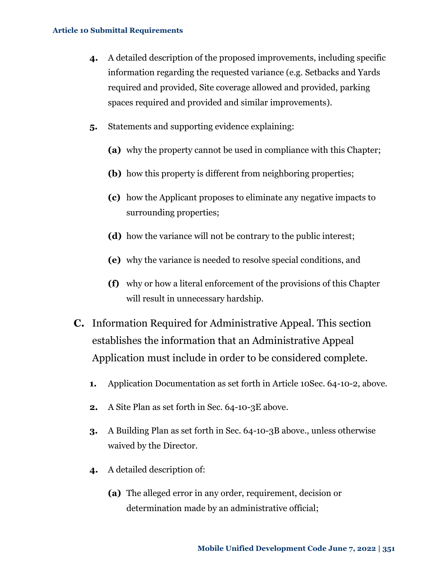- **4.** A detailed description of the proposed improvements, including specific information regarding the requested variance (e.g. Setbacks and Yards required and provided, Site coverage allowed and provided, parking spaces required and provided and similar improvements).
- **5.** Statements and supporting evidence explaining:
	- **(a)** why the property cannot be used in compliance with this Chapter;
	- **(b)** how this property is different from neighboring properties;
	- **(c)** how the Applicant proposes to eliminate any negative impacts to surrounding properties;
	- **(d)** how the variance will not be contrary to the public interest;
	- **(e)** why the variance is needed to resolve special conditions, and
	- **(f)** why or how a literal enforcement of the provisions of this Chapter will result in unnecessary hardship.
- **C.** Information Required for Administrative Appeal. This section establishes the information that an Administrative Appeal Application must include in order to be considered complete.
	- **1.** Application Documentation as set forth in [Article 10Sec. 64-10-2,](#page-1-2) above.
	- **2.** A Site Plan as set forth in [Sec. 64-10-3E above.](#page-6-0)
	- **3.** A Building Plan as set forth in [Sec. 64-10-3B above.](#page-4-0), unless otherwise waived by the Director.
	- **4.** A detailed description of:
		- **(a)** The alleged error in any order, requirement, decision or determination made by an administrative official;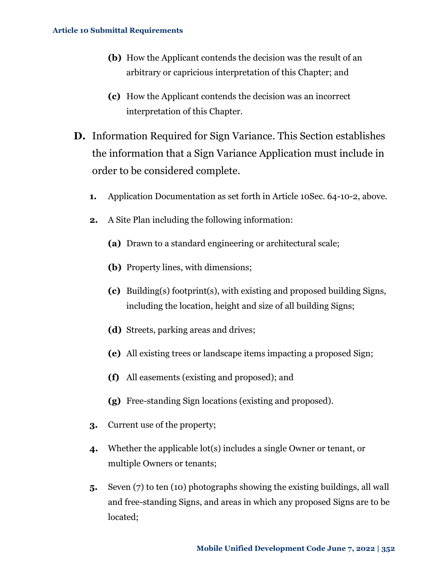- **(b)** How the Applicant contends the decision was the result of an arbitrary or capricious interpretation of this Chapter; and
- **(c)** How the Applicant contends the decision was an incorrect interpretation of this Chapter.
- **D.** Information Required for Sign Variance. This Section establishes the information that a Sign Variance Application must include in order to be considered complete.
	- **1.** Application Documentation as set forth in [Article 10Sec. 64-10-2,](#page-1-2) above.
	- **2.** A Site Plan including the following information:
		- **(a)** Drawn to a standard engineering or architectural scale;
		- **(b)** Property lines, with dimensions;
		- **(c)** Building(s) footprint(s), with existing and proposed building Signs, including the location, height and size of all building Signs;
		- **(d)** Streets, parking areas and drives;
		- **(e)** All existing trees or landscape items impacting a proposed Sign;
		- **(f)** All easements (existing and proposed); and
		- **(g)** Free-standing Sign locations (existing and proposed).
	- **3.** Current use of the property;
	- **4.** Whether the applicable lot(s) includes a single Owner or tenant, or multiple Owners or tenants;
	- **5.** Seven (7) to ten (10) photographs showing the existing buildings, all wall and free-standing Signs, and areas in which any proposed Signs are to be located;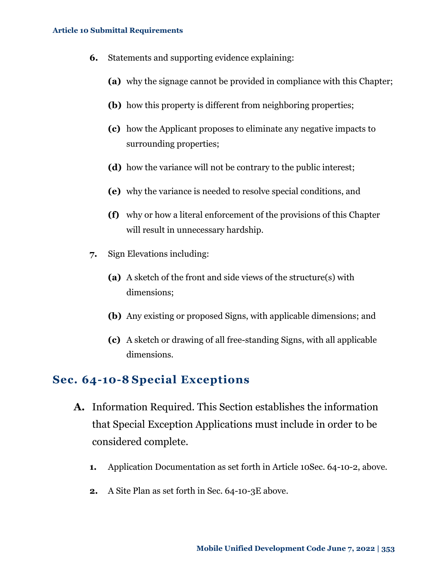- **6.** Statements and supporting evidence explaining:
	- **(a)** why the signage cannot be provided in compliance with this Chapter;
	- **(b)** how this property is different from neighboring properties;
	- **(c)** how the Applicant proposes to eliminate any negative impacts to surrounding properties;
	- **(d)** how the variance will not be contrary to the public interest;
	- **(e)** why the variance is needed to resolve special conditions, and
	- **(f)** why or how a literal enforcement of the provisions of this Chapter will result in unnecessary hardship.
- **7.** Sign Elevations including:
	- **(a)** A sketch of the front and side views of the structure(s) with dimensions;
	- **(b)** Any existing or proposed Signs, with applicable dimensions; and
	- **(c)** A sketch or drawing of all free-standing Signs, with all applicable dimensions.

#### <span id="page-16-0"></span>**Sec. 64-10-8 Special Exceptions**

- **A.** Information Required. This Section establishes the information that Special Exception Applications must include in order to be considered complete.
	- **1.** Application Documentation as set forth in [Article 10Sec. 64-10-2,](#page-1-2) above.
	- **2.** A Site Plan as set forth in [Sec. 64-10-3E above.](#page-6-0)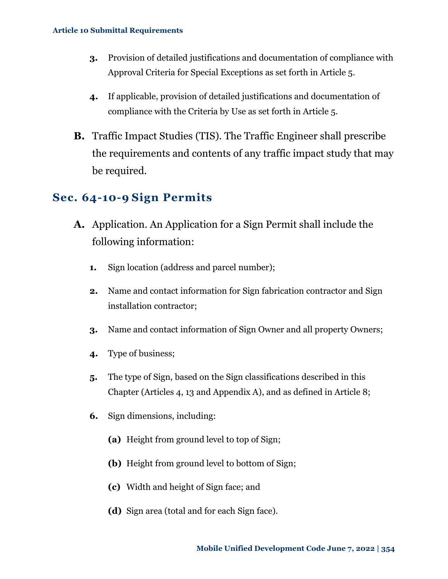- **3.** Provision of detailed justifications and documentation of compliance with Approval Criteria for Special Exceptions as set forth in Article 5.
- **4.** If applicable, provision of detailed justifications and documentation of compliance with the Criteria by Use as set forth in Article 5.
- **B.** Traffic Impact Studies (TIS). The Traffic Engineer shall prescribe the requirements and contents of any traffic impact study that may be required.

### <span id="page-17-0"></span>**Sec. 64-10-9 Sign Permits**

- **A.** Application. An Application for a Sign Permit shall include the following information:
	- **1.** Sign location (address and parcel number);
	- **2.** Name and contact information for Sign fabrication contractor and Sign installation contractor;
	- **3.** Name and contact information of Sign Owner and all property Owners;
	- **4.** Type of business;
	- **5.** The type of Sign, based on the Sign classifications described in this Chapter (Articles 4, 13 and Appendix A), and as defined in Article 8;
	- **6.** Sign dimensions, including:
		- **(a)** Height from ground level to top of Sign;
		- **(b)** Height from ground level to bottom of Sign;
		- **(c)** Width and height of Sign face; and
		- **(d)** Sign area (total and for each Sign face).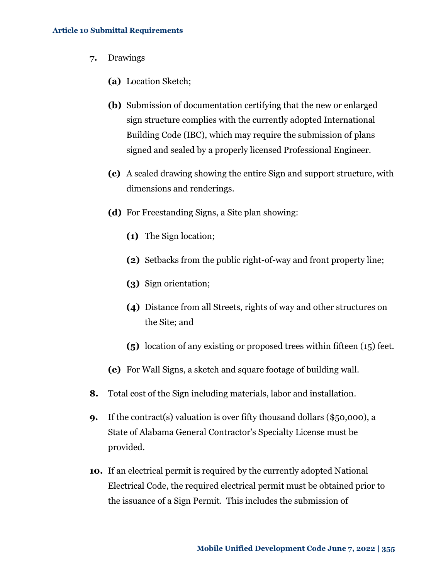- **7.** Drawings
	- **(a)** Location Sketch;
	- **(b)** Submission of documentation certifying that the new or enlarged sign structure complies with the currently adopted International Building Code (IBC), which may require the submission of plans signed and sealed by a properly licensed Professional Engineer.
	- **(c)** A scaled drawing showing the entire Sign and support structure, with dimensions and renderings.
	- **(d)** For Freestanding Signs, a Site plan showing:
		- **(1)** The Sign location;
		- **(2)** Setbacks from the public right-of-way and front property line;
		- **(3)** Sign orientation;
		- **(4)** Distance from all Streets, rights of way and other structures on the Site; and
		- **(5)** location of any existing or proposed trees within fifteen (15) feet.
	- **(e)** For Wall Signs, a sketch and square footage of building wall.
- **8.** Total cost of the Sign including materials, labor and installation.
- **9.** If the contract(s) valuation is over fifty thousand dollars (\$50,000), a State of Alabama General Contractor's Specialty License must be provided.
- **10.** If an electrical permit is required by the currently adopted National Electrical Code, the required electrical permit must be obtained prior to the issuance of a Sign Permit. This includes the submission of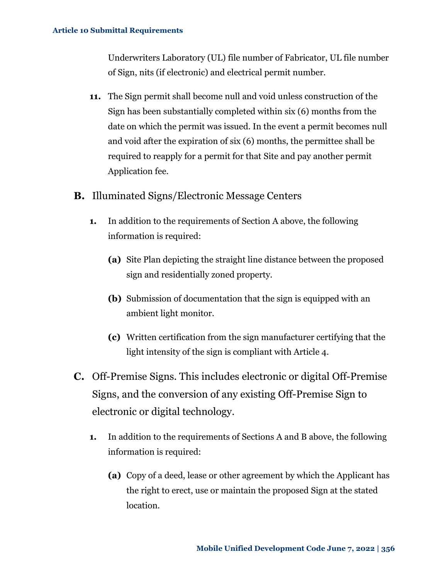Underwriters Laboratory (UL) file number of Fabricator, UL file number of Sign, nits (if electronic) and electrical permit number.

- **11.** The Sign permit shall become null and void unless construction of the Sign has been substantially completed within six (6) months from the date on which the permit was issued. In the event a permit becomes null and void after the expiration of six (6) months, the permittee shall be required to reapply for a permit for that Site and pay another permit Application fee.
- **B.** Illuminated Signs/Electronic Message Centers
	- **1.** In addition to the requirements of Section A above, the following information is required:
		- **(a)** Site Plan depicting the straight line distance between the proposed sign and residentially zoned property.
		- **(b)** Submission of documentation that the sign is equipped with an ambient light monitor.
		- **(c)** Written certification from the sign manufacturer certifying that the light intensity of the sign is compliant with Article 4.
- **C.** Off-Premise Signs. This includes electronic or digital Off-Premise Signs, and the conversion of any existing Off-Premise Sign to electronic or digital technology.
	- **1.** In addition to the requirements of Sections A and B above, the following information is required:
		- **(a)** Copy of a deed, lease or other agreement by which the Applicant has the right to erect, use or maintain the proposed Sign at the stated location.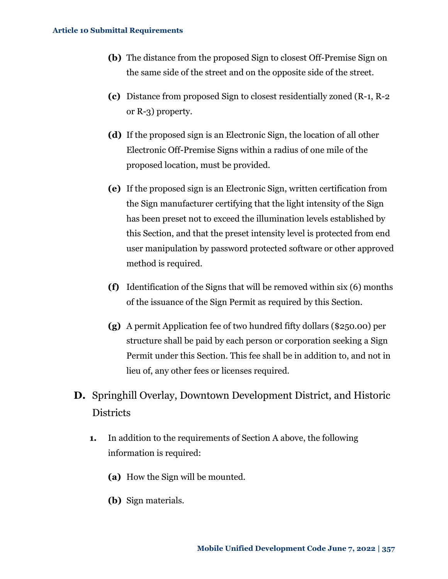- **(b)** The distance from the proposed Sign to closest Off-Premise Sign on the same side of the street and on the opposite side of the street.
- **(c)** Distance from proposed Sign to closest residentially zoned (R-1, R-2 or R-3) property.
- **(d)** If the proposed sign is an Electronic Sign, the location of all other Electronic Off-Premise Signs within a radius of one mile of the proposed location, must be provided.
- **(e)** If the proposed sign is an Electronic Sign, written certification from the Sign manufacturer certifying that the light intensity of the Sign has been preset not to exceed the illumination levels established by this Section, and that the preset intensity level is protected from end user manipulation by password protected software or other approved method is required.
- **(f)** Identification of the Signs that will be removed within six (6) months of the issuance of the Sign Permit as required by this Section.
- **(g)** A permit Application fee of two hundred fifty dollars (\$250.00) per structure shall be paid by each person or corporation seeking a Sign Permit under this Section. This fee shall be in addition to, and not in lieu of, any other fees or licenses required.
- **D.** Springhill Overlay, Downtown Development District, and Historic **Districts** 
	- **1.** In addition to the requirements of Section A above, the following information is required:
		- **(a)** How the Sign will be mounted.
		- **(b)** Sign materials.